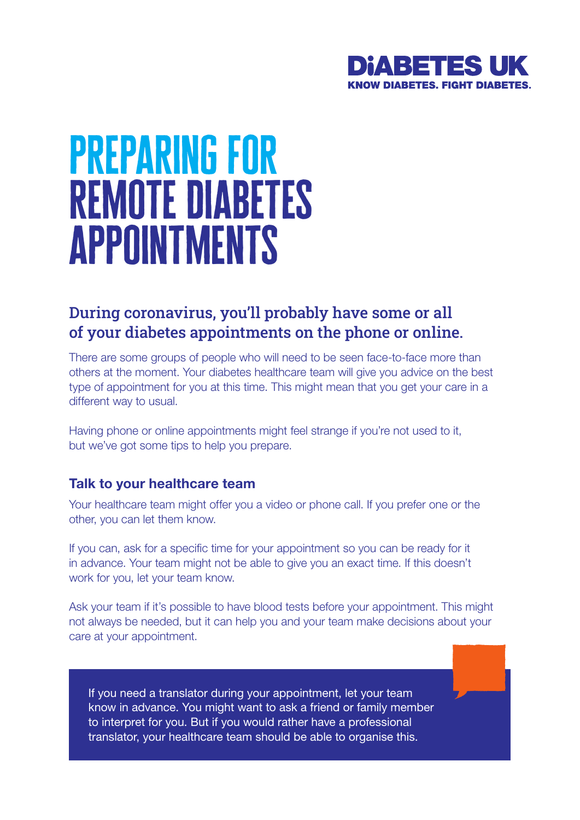

# preparing for remote diabetes appointments

## During coronavirus, you'll probably have some or all of your diabetes appointments on the phone or online.

There are some groups of people who will need to be seen face-to-face more than others at the moment. Your diabetes healthcare team will give you advice on the best type of appointment for you at this time. This might mean that you get your care in a different way to usual.

Having phone or online appointments might feel strange if you're not used to it, but we've got some tips to help you prepare.

#### **Talk to your healthcare team**

Your healthcare team might offer you a video or phone call. If you prefer one or the other, you can let them know.

If you can, ask for a specific time for your appointment so you can be ready for it in advance. Your team might not be able to give you an exact time. If this doesn't work for you, let your team know.

Ask your team if it's possible to have blood tests before your appointment. This might not always be needed, but it can help you and your team make decisions about your care at your appointment.

If you need a translator during your appointment, let your team know in advance. You might want to ask a friend or family member to interpret for you. But if you would rather have a professional translator, your healthcare team should be able to organise this.